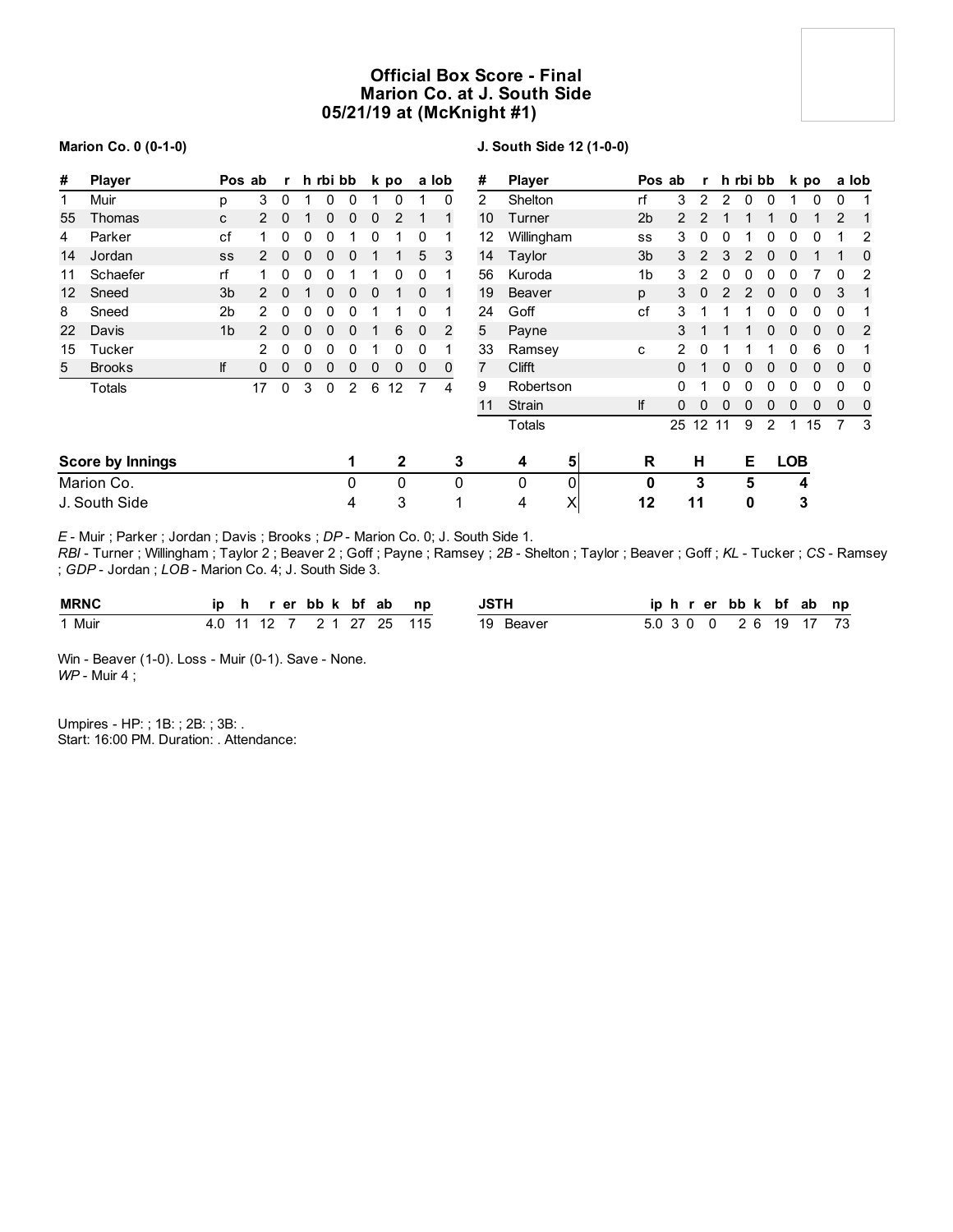# **Official Box Score - Final Marion Co. at J. South Side 05/21/19 at (McKnight #1)**

### **Marion Co. 0 (0-1-0)**

# **J. South Side 12 (1-0-0)**

| #  | <b>Player</b>           |                | Pos ab               | r           |   | h rbi bb |   |   | k po |          | a lob    | #              | <b>Player</b> |   | Pos ab         |               | r            |          | h rbi bb |          |              | k po |          | a lob          |
|----|-------------------------|----------------|----------------------|-------------|---|----------|---|---|------|----------|----------|----------------|---------------|---|----------------|---------------|--------------|----------|----------|----------|--------------|------|----------|----------------|
| 1  | Muir                    | p              | 3                    | 0           |   | 0        | 0 |   | 0    |          | 0        | $\overline{2}$ | Shelton       |   | rf             | 3             | 2            | 2        | $\Omega$ | $\Omega$ |              | 0    | 0        |                |
| 55 | Thomas                  | C              | $\mathbf{2}^{\circ}$ | 0           |   | 0        | 0 | 0 | 2    |          |          | 10             | Turner        |   | 2 <sub>b</sub> | $\mathcal{P}$ | 2            |          |          |          | 0            |      | 2        | 1              |
| 4  | Parker                  | cf             |                      | 0           | 0 | 0        |   | 0 |      | 0        |          | 12             | Willingham    |   | SS             | 3             | 0            | 0        |          |          | 0            | 0    |          | 2              |
| 14 | Jordan                  | SS             |                      | 0           | 0 | 0        | 0 |   |      | 5        | 3        | 14             | Taylor        |   | 3 <sub>b</sub> | 3             | 2            | 3        |          | 0        | 0            |      |          | 0              |
| 11 | Schaefer                | rf             |                      | 0           | 0 | 0        |   |   | 0    | 0        |          | 56             | Kuroda        |   | 1b             | 3             | 2            | $\Omega$ |          |          |              |      | 0        | 2              |
| 12 | Sneed                   | 3 <sub>b</sub> | $\mathcal{P}$        | 0           |   | 0        | 0 | 0 |      | $\Omega$ |          | 19             | <b>Beaver</b> |   | p              | 3             | 0            |          |          | U        | <sup>0</sup> | 0    | 3        | 1              |
| 8  | Sneed                   | 2 <sub>b</sub> |                      | 0           |   | 0        | 0 |   |      | 0        |          | 24             | Goff          |   | cf             | 3             |              |          |          |          |              | 0    | 0        |                |
| 22 | Davis                   | 1 <sub>b</sub> |                      | 0           | 0 | 0        | 0 |   | 6    | $\Omega$ | 2        | 5              | Payne         |   |                | 3             |              |          |          |          |              | 0    | $\Omega$ | $\overline{2}$ |
| 15 | Tucker                  |                | 2                    | 0           | 0 | 0        | 0 |   | 0    | 0        |          | 33             | Ramsey        |   | $\mathbf{C}$   | 2             |              |          |          |          |              | 6    | 0        |                |
| 5  | <b>Brooks</b>           | lf             | 0                    | 0           | 0 | 0        | 0 | 0 | 0    | 0        | $\Omega$ | 7              | <b>Clifft</b> |   |                | 0             |              |          |          | 0        | U            | 0    | $\Omega$ | 0              |
|    | Totals                  |                | 17                   | $\mathbf 0$ | 3 | 0        | 2 | 6 | 12   | 7        | 4        | 9              | Robertson     |   |                | 0             |              |          |          |          | 0            | 0    | $\Omega$ | 0              |
|    |                         |                |                      |             |   |          |   |   |      |          |          | 11             | Strain        |   | lf             | 0             | $\mathbf{0}$ | 0        | $\Omega$ | 0        | 0            | 0    | $\Omega$ | 0              |
|    |                         |                |                      |             |   |          |   |   |      |          |          |                | Totals        |   |                | 25 12 11      |              |          | 9        | 2        | 1            | 15   |          | 3              |
|    | <b>Score by Innings</b> |                |                      |             |   |          | 1 |   | 2    |          | 3        |                | 4             | 5 | R              |               | н            |          | Е        |          | <b>LOB</b>   |      |          |                |
|    | Marion Co.              |                |                      |             |   |          | 0 |   | 0    |          | 0        |                | 0             | 0 | 0              |               | 3            |          | 5        |          | 4            |      |          |                |
|    | J. South Side           |                |                      |             |   |          | 4 |   | 3    |          | ٠        |                | 4             | X | 12             |               | 11           |          | 0        |          |              | 3    |          |                |

*E* - Muir ; Parker ; Jordan ; Davis ; Brooks ; *DP* - Marion Co. 0; J. South Side 1.

*RBI* - Turner ; Willingham ; Taylor 2 ; Beaver 2 ; Goff ; Payne ; Ramsey ; *2B* - Shelton ; Taylor ; Beaver ; Goff ; *KL* - Tucker ; *CS* - Ramsey ; *GDP* - Jordan ; *LOB* - Marion Co. 4; J. South Side 3.

| <b>MRNC</b> | in  |  | er. | bb k bf | ab | np  | ISTL         | ID<br>. .<br>n | bb k bf ab<br>er |    | np |
|-------------|-----|--|-----|---------|----|-----|--------------|----------------|------------------|----|----|
| Muir        | 4.U |  |     |         | 25 | 115 | 19<br>Beaver |                | 2 K              | 19 | 73 |

Win - Beaver (1-0). Loss - Muir (0-1). Save - None. *WP* - Muir 4 ;

Umpires - HP: ; 1B: ; 2B: ; 3B: . Start: 16:00 PM. Duration: . Attendance: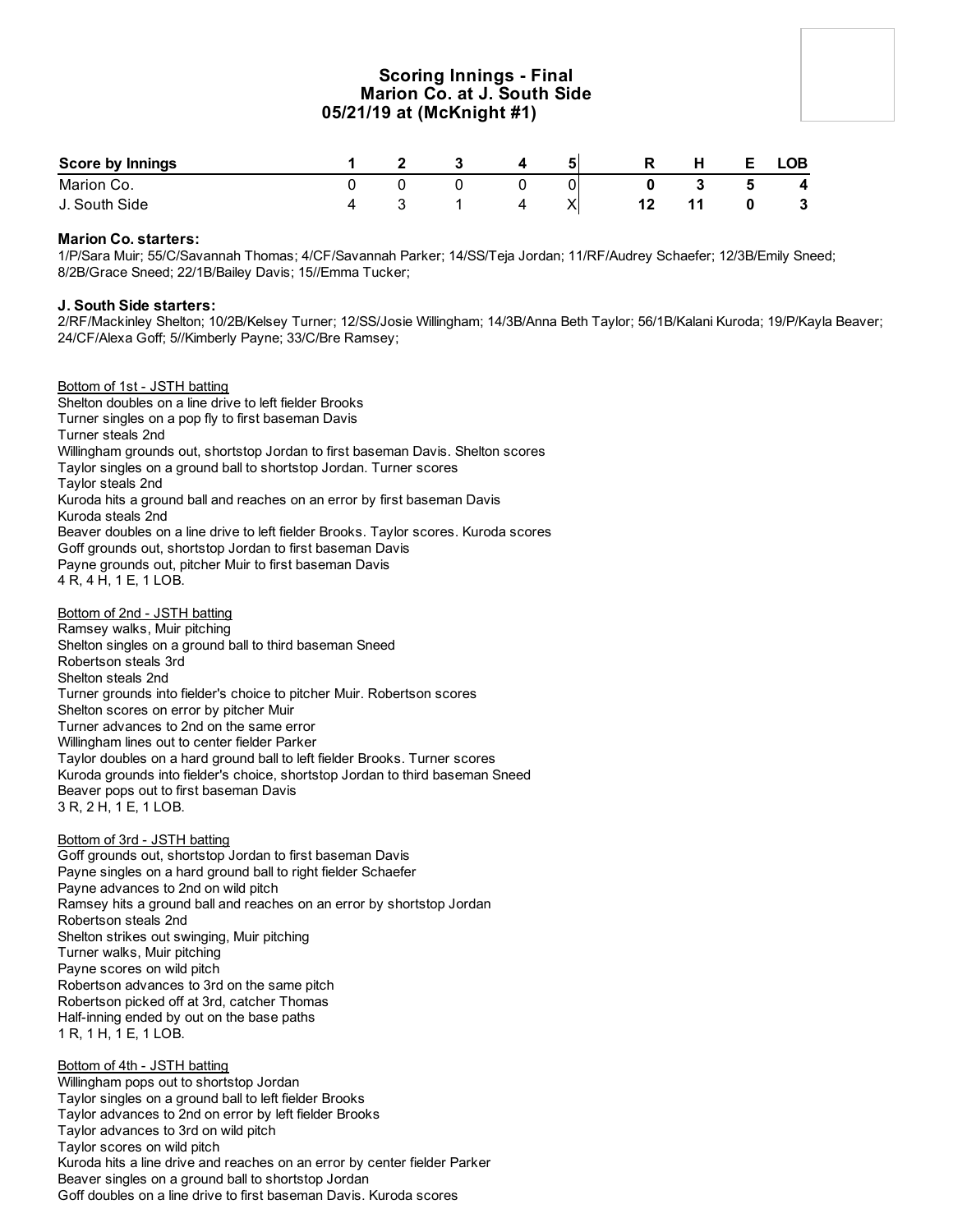# **Scoring Innings - Final Marion Co. at J. South Side 05/21/19 at (McKnight #1)**

| <b>Score by Innings</b> |  |  |   |     |  | ∟OB          |
|-------------------------|--|--|---|-----|--|--------------|
| Marion Co.              |  |  |   |     |  | 4            |
| J. South Side           |  |  | v | . . |  | $\mathbf{3}$ |

## **Marion Co. starters:**

1/P/Sara Muir; 55/C/Savannah Thomas; 4/CF/Savannah Parker; 14/SS/Teja Jordan; 11/RF/Audrey Schaefer; 12/3B/Emily Sneed; 8/2B/Grace Sneed; 22/1B/Bailey Davis; 15//Emma Tucker;

## **J. South Side starters:**

2/RF/Mackinley Shelton; 10/2B/Kelsey Turner; 12/SS/Josie Willingham; 14/3B/Anna Beth Taylor; 56/1B/Kalani Kuroda; 19/P/Kayla Beaver; 24/CF/Alexa Goff; 5//Kimberly Payne; 33/C/Bre Ramsey;

Bottom of 1st - JSTH batting Shelton doubles on a line drive to left fielder Brooks Turner singles on a pop fly to first baseman Davis Turner steals 2nd Willingham grounds out, shortstop Jordan to first baseman Davis. Shelton scores Taylor singles on a ground ball to shortstop Jordan. Turner scores Taylor steals 2nd Kuroda hits a ground ball and reaches on an error by first baseman Davis Kuroda steals 2nd Beaver doubles on a line drive to left fielder Brooks. Taylor scores. Kuroda scores Goff grounds out, shortstop Jordan to first baseman Davis Payne grounds out, pitcher Muir to first baseman Davis 4 R, 4 H, 1 E, 1 LOB.

Bottom of 2nd - JSTH batting Ramsey walks, Muir pitching Shelton singles on a ground ball to third baseman Sneed Robertson steals 3rd Shelton steals 2nd Turner grounds into fielder's choice to pitcher Muir. Robertson scores Shelton scores on error by pitcher Muir Turner advances to 2nd on the same error Willingham lines out to center fielder Parker Taylor doubles on a hard ground ball to left fielder Brooks. Turner scores Kuroda grounds into fielder's choice, shortstop Jordan to third baseman Sneed Beaver pops out to first baseman Davis 3 R, 2 H, 1 E, 1 LOB.

Bottom of 3rd - JSTH batting Goff grounds out, shortstop Jordan to first baseman Davis Payne singles on a hard ground ball to right fielder Schaefer Payne advances to 2nd on wild pitch Ramsey hits a ground ball and reaches on an error by shortstop Jordan Robertson steals 2nd Shelton strikes out swinging, Muir pitching Turner walks, Muir pitching Payne scores on wild pitch Robertson advances to 3rd on the same pitch Robertson picked off at 3rd, catcher Thomas Half-inning ended by out on the base paths 1 R, 1 H, 1 E, 1 LOB.

Bottom of 4th - JSTH batting Willingham pops out to shortstop Jordan Taylor singles on a ground ball to left fielder Brooks Taylor advances to 2nd on error by left fielder Brooks Taylor advances to 3rd on wild pitch Taylor scores on wild pitch Kuroda hits a line drive and reaches on an error by center fielder Parker Beaver singles on a ground ball to shortstop Jordan Goff doubles on a line drive to first baseman Davis. Kuroda scores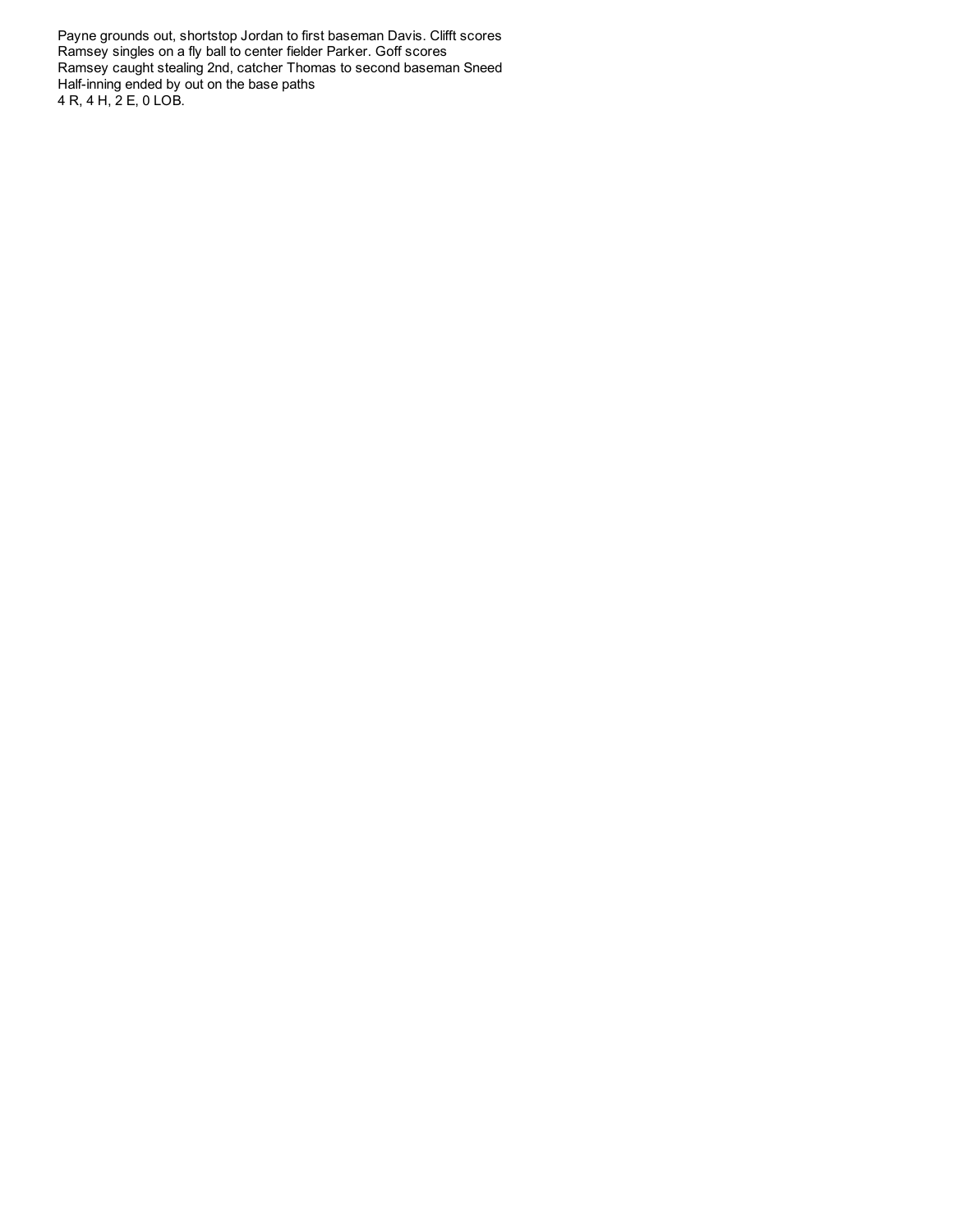Payne grounds out, shortstop Jordan to first baseman Davis. Clifft scores Ramsey singles on a fly ball to center fielder Parker. Goff scores Ramsey caught stealing 2nd, catcher Thomas to second baseman Sneed Half-inning ended by out on the base paths 4 R, 4 H, 2 E, 0 LOB.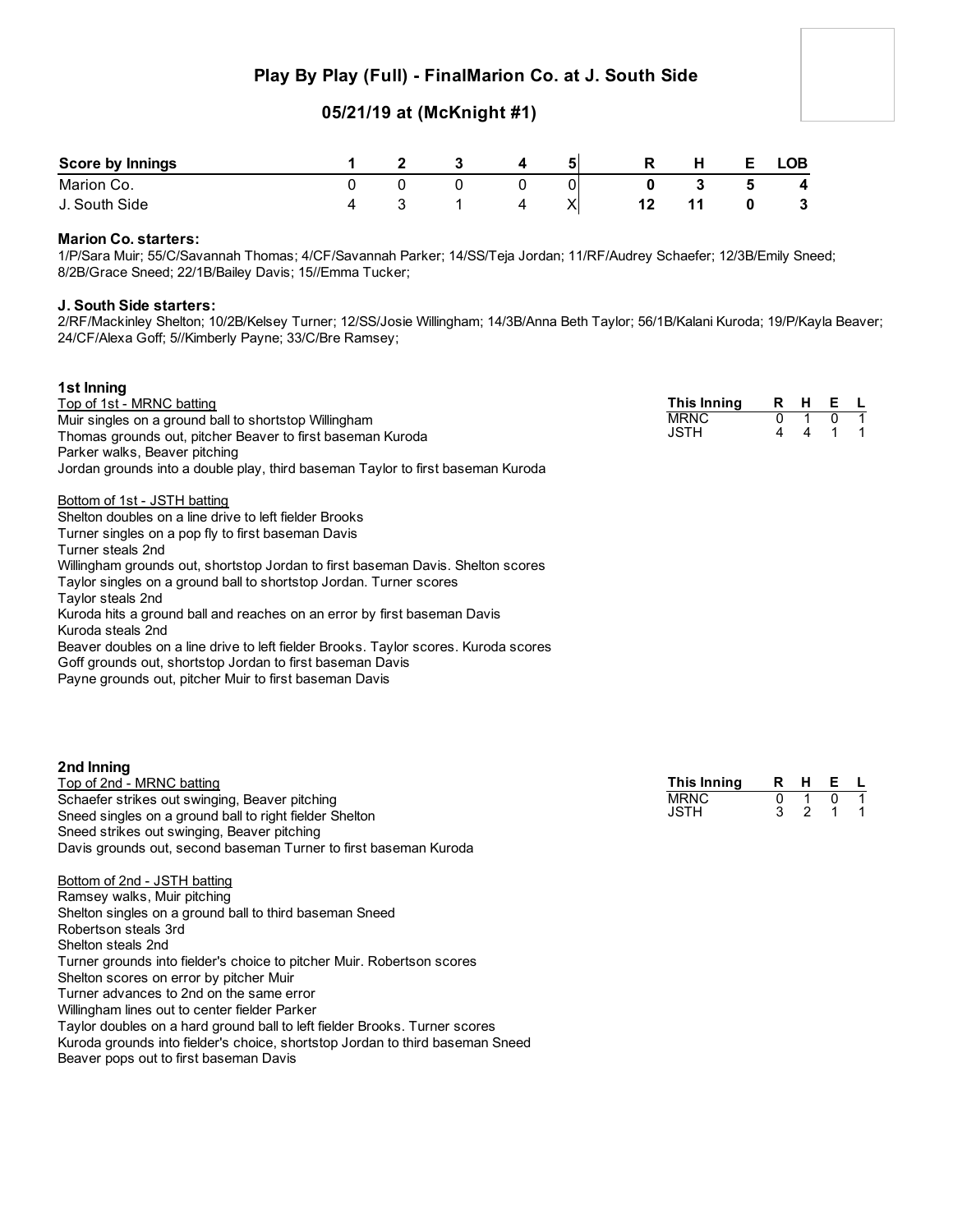# **Play By Play (Full) - FinalMarion Co. at J. South Side**

# **05/21/19 at (McKnight #1)**

| Score by Innings |  |  | 5 | R | H | <b>LOB</b> |
|------------------|--|--|---|---|---|------------|
| Marion Co.       |  |  |   |   |   | 4          |
| J. South Side    |  |  | ∧ |   |   | - 3        |

## **Marion Co. starters:**

1/P/Sara Muir; 55/C/Savannah Thomas; 4/CF/Savannah Parker; 14/SS/Teja Jordan; 11/RF/Audrey Schaefer; 12/3B/Emily Sneed; 8/2B/Grace Sneed; 22/1B/Bailey Davis; 15//Emma Tucker;

# **J. South Side starters:**

2/RF/Mackinley Shelton; 10/2B/Kelsey Turner; 12/SS/Josie Willingham; 14/3B/Anna Beth Taylor; 56/1B/Kalani Kuroda; 19/P/Kayla Beaver; 24/CF/Alexa Goff; 5//Kimberly Payne; 33/C/Bre Ramsey;

| 1st Inning                                                                          |             |   |     |     |  |
|-------------------------------------------------------------------------------------|-------------|---|-----|-----|--|
| Top of 1st - MRNC batting                                                           | This Inning |   | R H | E L |  |
| Muir singles on a ground ball to shortstop Willingham                               | <b>MRNC</b> | 0 |     |     |  |
| Thomas grounds out, pitcher Beaver to first baseman Kuroda                          | JSTH        | 4 | 4   |     |  |
| Parker walks, Beaver pitching                                                       |             |   |     |     |  |
| Jordan grounds into a double play, third baseman Taylor to first baseman Kuroda     |             |   |     |     |  |
| Bottom of 1st - JSTH batting                                                        |             |   |     |     |  |
| Shelton doubles on a line drive to left fielder Brooks                              |             |   |     |     |  |
| Turner singles on a pop fly to first baseman Davis                                  |             |   |     |     |  |
| Turner steals 2nd                                                                   |             |   |     |     |  |
| Willingham grounds out, shortstop Jordan to first baseman Davis. Shelton scores     |             |   |     |     |  |
| Taylor singles on a ground ball to shortstop Jordan. Turner scores                  |             |   |     |     |  |
| Taylor steals 2nd                                                                   |             |   |     |     |  |
| Kuroda hits a ground ball and reaches on an error by first baseman Davis            |             |   |     |     |  |
| Kuroda steals 2nd                                                                   |             |   |     |     |  |
| Beaver doubles on a line drive to left fielder Brooks. Taylor scores. Kuroda scores |             |   |     |     |  |
| Goff grounds out, shortstop Jordan to first baseman Davis                           |             |   |     |     |  |
| Payne grounds out, pitcher Muir to first baseman Davis                              |             |   |     |     |  |
|                                                                                     |             |   |     |     |  |
|                                                                                     |             |   |     |     |  |

| 2nd Inning                                                       |
|------------------------------------------------------------------|
| Top of 2nd - MRNC batting                                        |
| Schaefer strikes out swinging, Beaver pitching                   |
| Sneed singles on a ground ball to right fielder Shelton          |
| Sneed strikes out swinging, Beaver pitching                      |
| Davis grounds out, second baseman Turner to first baseman Kuroda |

| This Innina | R | н | F |  |
|-------------|---|---|---|--|
| MRNC        |   |   |   |  |
| JSTH        |   |   |   |  |